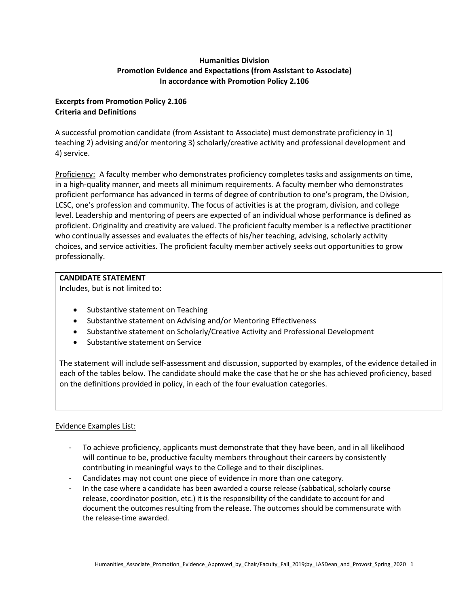## **Humanities Division Promotion Evidence and Expectations (from Assistant to Associate) In accordance with Promotion Policy 2.106**

### **Excerpts from Promotion Policy 2.106 Criteria and Definitions**

A successful promotion candidate (from Assistant to Associate) must demonstrate proficiency in 1) teaching 2) advising and/or mentoring 3) scholarly/creative activity and professional development and 4) service.

Proficiency: A faculty member who demonstrates proficiency completes tasks and assignments on time, in a high-quality manner, and meets all minimum requirements. A faculty member who demonstrates proficient performance has advanced in terms of degree of contribution to one's program, the Division, LCSC, one's profession and community. The focus of activities is at the program, division, and college level. Leadership and mentoring of peers are expected of an individual whose performance is defined as proficient. Originality and creativity are valued. The proficient faculty member is a reflective practitioner who continually assesses and evaluates the effects of his/her teaching, advising, scholarly activity choices, and service activities. The proficient faculty member actively seeks out opportunities to grow professionally.

### **CANDIDATE STATEMENT**

Includes, but is not limited to:

- Substantive statement on Teaching
- Substantive statement on Advising and/or Mentoring Effectiveness
- Substantive statement on Scholarly/Creative Activity and Professional Development
- Substantive statement on Service

The statement will include self-assessment and discussion, supported by examples, of the evidence detailed in each of the tables below. The candidate should make the case that he or she has achieved proficiency, based on the definitions provided in policy, in each of the four evaluation categories.

# Evidence Examples List:

- To achieve proficiency, applicants must demonstrate that they have been, and in all likelihood will continue to be, productive faculty members throughout their careers by consistently contributing in meaningful ways to the College and to their disciplines.
- Candidates may not count one piece of evidence in more than one category.
- In the case where a candidate has been awarded a course release (sabbatical, scholarly course release, coordinator position, etc.) it is the responsibility of the candidate to account for and document the outcomes resulting from the release. The outcomes should be commensurate with the release-time awarded.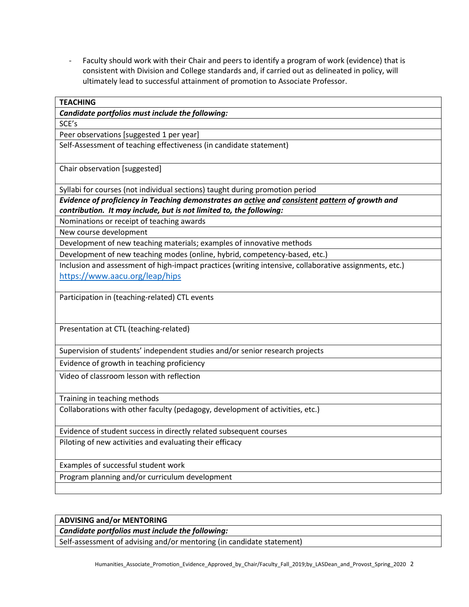- Faculty should work with their Chair and peers to identify a program of work (evidence) that is consistent with Division and College standards and, if carried out as delineated in policy, will ultimately lead to successful attainment of promotion to Associate Professor.

| <b>TEACHING</b>                                                                                        |
|--------------------------------------------------------------------------------------------------------|
| Candidate portfolios must include the following:                                                       |
| SCE's                                                                                                  |
| Peer observations [suggested 1 per year]                                                               |
| Self-Assessment of teaching effectiveness (in candidate statement)                                     |
| Chair observation [suggested]                                                                          |
| Syllabi for courses (not individual sections) taught during promotion period                           |
| Evidence of proficiency in Teaching demonstrates an active and consistent pattern of growth and        |
| contribution. It may include, but is not limited to, the following:                                    |
| Nominations or receipt of teaching awards                                                              |
| New course development                                                                                 |
| Development of new teaching materials; examples of innovative methods                                  |
| Development of new teaching modes (online, hybrid, competency-based, etc.)                             |
| Inclusion and assessment of high-impact practices (writing intensive, collaborative assignments, etc.) |
| https://www.aacu.org/leap/hips                                                                         |
|                                                                                                        |
| Participation in (teaching-related) CTL events                                                         |
|                                                                                                        |
|                                                                                                        |
| Presentation at CTL (teaching-related)                                                                 |
|                                                                                                        |
| Supervision of students' independent studies and/or senior research projects                           |
| Evidence of growth in teaching proficiency                                                             |
| Video of classroom lesson with reflection                                                              |
|                                                                                                        |
| Training in teaching methods                                                                           |
| Collaborations with other faculty (pedagogy, development of activities, etc.)                          |
|                                                                                                        |
| Evidence of student success in directly related subsequent courses                                     |
| Piloting of new activities and evaluating their efficacy                                               |
|                                                                                                        |
| Examples of successful student work                                                                    |
| Program planning and/or curriculum development                                                         |
|                                                                                                        |

#### **ADVISING and/or MENTORING**

*Candidate portfolios must include the following:*

Self-assessment of advising and/or mentoring (in candidate statement)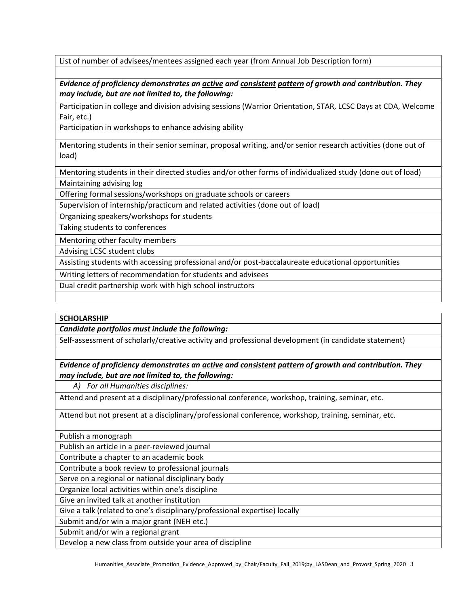List of number of advisees/mentees assigned each year (from Annual Job Description form)

*Evidence of proficiency demonstrates an active and consistent pattern of growth and contribution. They may include, but are not limited to, the following:*

Participation in college and division advising sessions (Warrior Orientation, STAR, LCSC Days at CDA, Welcome Fair, etc.)

Participation in workshops to enhance advising ability

Mentoring students in their senior seminar, proposal writing, and/or senior research activities (done out of load)

Mentoring students in their directed studies and/or other forms of individualized study (done out of load) Maintaining advising log

Offering formal sessions/workshops on graduate schools or careers

Supervision of internship/practicum and related activities (done out of load)

Organizing speakers/workshops for students

Taking students to conferences

Mentoring other faculty members

Advising LCSC student clubs

Assisting students with accessing professional and/or post-baccalaureate educational opportunities

Writing letters of recommendation for students and advisees

Dual credit partnership work with high school instructors

#### **SCHOLARSHIP**

*Candidate portfolios must include the following:*

Self-assessment of scholarly/creative activity and professional development (in candidate statement)

# *Evidence of proficiency demonstrates an active and consistent pattern of growth and contribution. They may include, but are not limited to, the following:*

*A) For all Humanities disciplines:*

Attend and present at a disciplinary/professional conference, workshop, training, seminar, etc.

Attend but not present at a disciplinary/professional conference, workshop, training, seminar, etc.

Publish a monograph

Publish an article in a peer-reviewed journal

Contribute a chapter to an academic book

Contribute a book review to professional journals

Serve on a regional or national disciplinary body

Organize local activities within one's discipline

Give an invited talk at another institution

Give a talk (related to one's disciplinary/professional expertise) locally

Submit and/or win a major grant (NEH etc.)

Submit and/or win a regional grant

Develop a new class from outside your area of discipline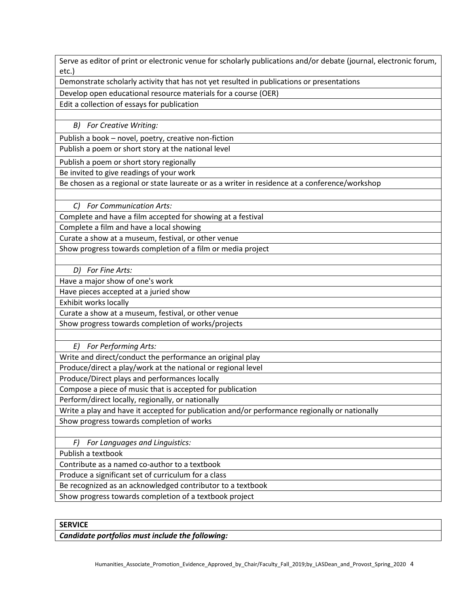Serve as editor of print or electronic venue for scholarly publications and/or debate (journal, electronic forum, etc.)

Demonstrate scholarly activity that has not yet resulted in publications or presentations

Develop open educational resource materials for a course (OER)

Edit a collection of essays for publication

*B) For Creative Writing:*

Publish a book – novel, poetry, creative non-fiction

Publish a poem or short story at the national level

Publish a poem or short story regionally

Be invited to give readings of your work

Be chosen as a regional or state laureate or as a writer in residence at a conference/workshop

*C) For Communication Arts:*

Complete and have a film accepted for showing at a festival

Complete a film and have a local showing

Curate a show at a museum, festival, or other venue

Show progress towards completion of a film or media project

*D) For Fine Arts:*

Have a major show of one's work

Have pieces accepted at a juried show

Exhibit works locally

Curate a show at a museum, festival, or other venue

Show progress towards completion of works/projects

*E) For Performing Arts:*

Write and direct/conduct the performance an original play

Produce/direct a play/work at the national or regional level

Produce/Direct plays and performances locally

Compose a piece of music that is accepted for publication

Perform/direct locally, regionally, or nationally

Write a play and have it accepted for publication and/or performance regionally or nationally

Show progress towards completion of works

*F) For Languages and Linguistics:*

Publish a textbook

Contribute as a named co-author to a textbook

Produce a significant set of curriculum for a class

Be recognized as an acknowledged contributor to a textbook

Show progress towards completion of a textbook project

**SERVICE**

*Candidate portfolios must include the following:*